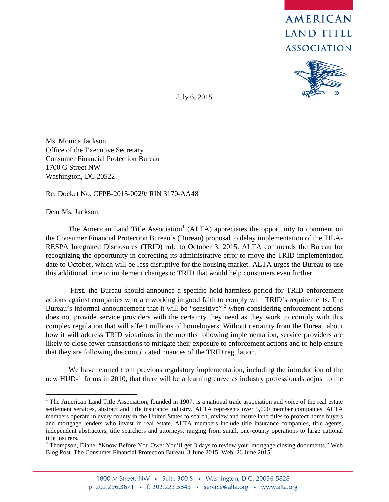



July 6, 2015

Ms. Monica Jackson Office of the Executive Secretary Consumer Financial Protection Bureau 1700 G Street NW Washington, DC 20522

Re: Docket No. CFPB-2015-0029/ RIN 3170-AA48

Dear Ms. Jackson:

The American Land Title Association<sup>[1](#page-0-0)</sup> (ALTA) appreciates the opportunity to comment on the Consumer Financial Protection Bureau's (Bureau) proposal to delay implementation of the TILA-RESPA Integrated Disclosures (TRID) rule to October 3, 2015. ALTA commends the Bureau for recognizing the opportunity in correcting its administrative error to move the TRID implementation date to October, which will be less disruptive for the housing market. ALTA urges the Bureau to use this additional time to implement changes to TRID that would help consumers even further.

First, the Bureau should announce a specific hold-harmless period for TRID enforcement actions against companies who are working in good faith to comply with TRID's requirements. The Bureau's informal announcement that it will be "sensitive" <sup>[2](#page-0-1)</sup> when considering enforcement actions does not provide service providers with the certainty they need as they work to comply with this complex regulation that will affect millions of homebuyers. Without certainty from the Bureau about how it will address TRID violations in the months following implementation, service providers are likely to close fewer transactions to mitigate their exposure to enforcement actions and to help ensure that they are following the complicated nuances of the TRID regulation.

We have learned from previous regulatory implementation, including the introduction of the new HUD-1 forms in 2010, that there will be a learning curve as industry professionals adjust to the

<span id="page-0-0"></span><sup>&</sup>lt;sup>1</sup> The American Land Title Association, founded in 1907, is a national trade association and voice of the real estate settlement services, abstract and title insurance industry. ALTA represents over 5,600 member companies. ALTA members operate in every county in the United States to search, review and insure land titles to protect home buyers and mortgage lenders who invest in real estate. ALTA members include title insurance companies, title agents, independent abstracters, title searchers and attorneys, ranging from small, one-county operations to large national title insurers.

<span id="page-0-1"></span><sup>&</sup>lt;sup>2</sup> Thompson, Diane. "Know Before You Owe: You'll get 3 days to review your mortgage closing documents." Web Blog Post. The Consumer Financial Protection Bureau, 3 June 2015. Web. 26 June 2015.